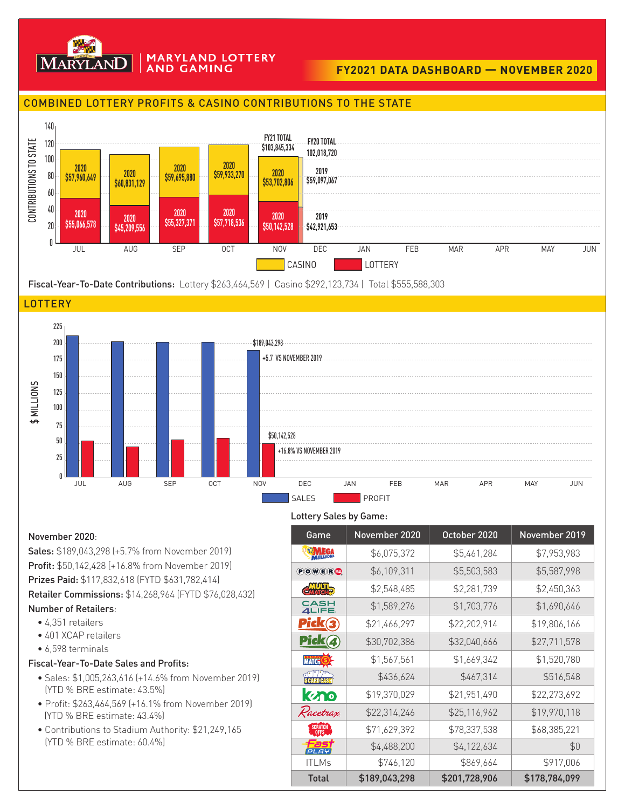

#### **MARYLAND LOTTERY AND GAMING**

# **FY2021 DATA DASHBOARD — NOVEMBER 2020**

### COMBINED LOTTERY PROFITS & CASINO CONTRIBUTIONS TO THE STATE



Fiscal-Year-To-Date Contributions: Lottery \$263,464,569 | Casino \$292,123,734 | Total \$555,588,303





#### Lottery Sales by Game:

November 2020:

Sales: \$189,043,298 (+5.7% from November 2019) Profit: \$50,142,428 [+16.8% from November 2019) Prizes Paid: \$117,832,618 (FYTD \$631,782,414) Retailer Commissions: \$14,268,964 (FYTD \$76,028,432) Number of Retailers:

- 4,351 retailers
- 401 XCAP retailers
- 6,598 terminals

## Fiscal-Year-To-Date Sales and Profits:

- Sales: \$1,005,263,616 (+14.6% from November 2019) (YTD % BRE estimate: 43.5%)
- Profit: \$263,464,569 (+16.1% from November 2019) (YTD % BRE estimate: 43.4%)
- Contributions to Stadium Authority: \$21,249,165 (YTD % BRE estimate: 60.4%]

| Game                      | November 2020 | October 2020  | November 2019 |
|---------------------------|---------------|---------------|---------------|
| <b>ED MEGA</b>            | \$6,075,372   | \$5,461,284   | \$7,953,983   |
| <b>POWER</b>              | \$6,109,311   | \$5,503,583   | \$5,587,998   |
| CMATCH <sub>2</sub>       | \$2,548,485   | \$2,281,739   | \$2,450,363   |
| <u>유음부</u>                | \$1,589,276   | \$1,703,776   | \$1,690,646   |
| Pick(3)                   | \$21,466,297  | \$22,202,914  | \$19,806,166  |
| Pick(4)                   | \$30,702,386  | \$32,040,666  | \$27,711,578  |
| <b>MATCH</b> <sup>5</sup> | \$1,567,561   | \$1,669,342   | \$1,520,780   |
| <b>SHARDGASH</b>          | \$436,624     | \$467,314     | \$516,548     |
| kano                      | \$19,370,029  | \$21,951,490  | \$22,273,692  |
| Racetrax                  | \$22,314,246  | \$25,116,962  | \$19,970,118  |
|                           | \$71,629,392  | \$78,337,538  | \$68,385,221  |
| שם ום                     | \$4,488,200   | \$4,122,634   | \$0           |
| <b>ITLMs</b>              | \$746,120     | \$869,664     | \$917,006     |
| <b>Total</b>              | \$189,043,298 | \$201,728,906 | \$178,784,099 |